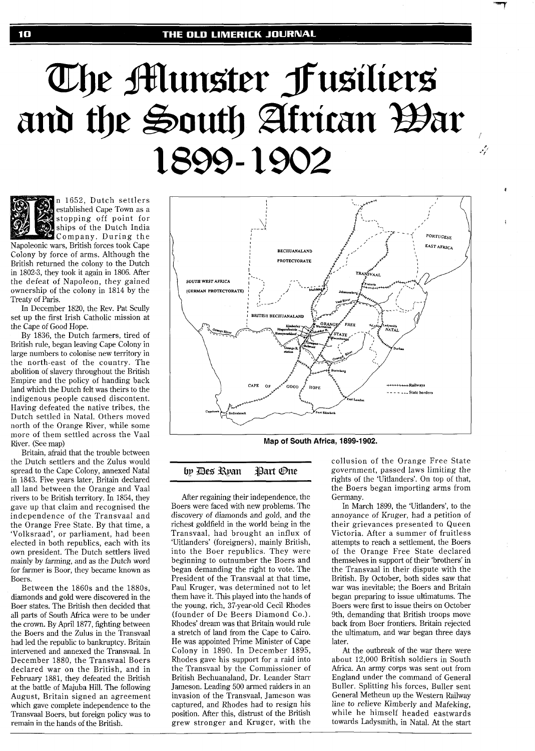# The Munster Fusiliers and the South African Bar 1899-1902



n 1652, Dutch settlers established Cape Town as a stopping off point for ships of the Dutch India Company. During the

Napoleonic wars, British forces took Cape Colony by force of arms. Although the British returned the colony to the Dutch in 1802-3, they took it again in 1806. After the defeat of Napoleon, they gained ownership of the colony in 1814 by the Treaty of Paris.

In December 1820, the Rev. Pat Scully set up the first Irish Catholic mission at the Cape of Good Hope.

By 1836, the Dutch farmers, tired of British rule, began leaving Cape Colony in large numbers to colonise new territory in the north-east of the country. The abolition of slavery throughout the British Empire and the policy of handing back land which the Dutch felt was theirs to the indigenous people caused discontent. Having defeated the native tribes, the Dutch settled in Natal. Others moved north of the Orange River, while some more of them settled across the Vaal River. (See map)

Britain, afraid that the trouble between the Dutch settlers and the Zulus would spread to the Cape Colony, annexed Natal in 1843. Five years later, Britain declared all land between the Orange and Vaal rivers to be British territory. In 1854, they gave up that claim and recognised the independence of the Transvaal and the Orange Free State. By that time, a 'Volksraad', or parliament, had been elected in both republics, each with its own president. The Dutch settlers lived mainly by farming, and as the Dutch word for farmer is Boor, they became known as Boers.

Between the 1860s and the 1880s, diamonds and gold were discovered in the Boer states. The British then decided that all parts of South Africa were to be under the crown. By April 1877, fighting between the Boers and the Zulus in the Transvaal had led the republic to bankruptcy. Britain intervened and annexed the Transvaal. In December 1880, the Transvaal Boers declared war on the British, and in February 1881, they defeated the British at the battle of Majuba Hill. The following August, Britain signed an agreement which gave complete independence to the Transvaal Boers, but foreign policy was to remain in the hands of the British.



**Map of South Africa, 1899-1 902.** 

bp Des Roan Part One

After regaining their independence, the Boers were faced with new problems. The discovery of diamonds and gold, and the richest goldfield in the world being in the Transvaal, had brought an influx of 'Uitlanders' (foreigners), mainly British, into the Boer republics. They were beginning to outnumber the Boers and began demanding the right to vote. The President of the Transvaal at that time, Paul Kruger, was determined not to let them have it. This played into the hands of the young, rich, 37-year-old Cecil Rhodes (founder of De Beers Diamond Co.). Rhodes' dream was that Britain would rule a stretch of land from the Cape to Cairo. He was appointed Prime Minister of Cape Colony in 1890. In December 1895, Rhodes gave his support for a raid into the Transvaal by the Commissioner of British Bechuanaland, Dr. Leander Starr Jameson. Leading 500 armed raiders in an invasion of the Transvaal, Jameson was captured, and Rhodes had to resign his position. After this, distrust of the British grew stronger and Kruger, with the

collusion of the Orange Free State government, passed laws limiting the rights of the 'Uitlanders'. On top of that, the Boers began importing arms from Germany.

لركبه

In March 1899, the 'Uitlanders', to the annoyance of Kruger, had a petition of their grievances presented to Queen Victoria. After a summer of fruitless attempts to reach a settlement, the Boers of the Orange Free State declared themselves in support of their 'brothers' in the Transvaal in their dispute with the British. By October, both sides saw that war was inevitable; the Boers and Britain began preparing to issue ultimatums. The Boers were first to issue theirs on October 9th, demanding that British troops move back from Boer frontiers. Britain rejected the ultimatum, and war began three days later.

At the outbreak of the war there were about 12,000 British soldiers in South Africa. An army corps was sent out from England under the command of General Buller. Splitting his forces, Buller sent General Metheun up the Western Railway line to relieve Kimberly and Mafeking, while he himself headed eastwards towards Ladysmith, in Natal. At the start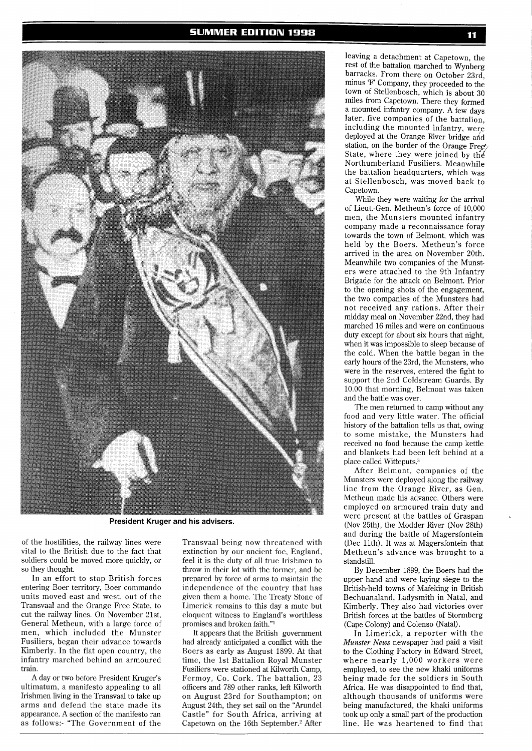**SUMMER EDITION 1998** 



**President Kruger and his advisers.** 

of the hostilities, the railway lines were vital to the British due to the fact that soldiers could be moved more quickly, or so they thought.

In an effort to stop British forces entering Boer territory, Boer commando units moved east and west, out of the Transvaal and the Orange Free State, to cut the railway lines. On November 21st, General Metheun, with a large force of men, which included the Munster Fusiliers, began their advance towards Kimberly. In the flat open country, the infantry marched behind an armoured train.

A day or two before President Kruger's ultimatum, a manifesto appealing to all Irishmen living in the Transvaal to take up arms and defend the state made its appearance. A section of the manifesto ran as follows:- "The Government of the Transvaal being now threatened with extinction by our ancient foe, England, feel it is the duty of all true Irishmen to throw in their lot with the former, and be prepared by force of arms to maintain the independence of the country that has given them a home. The Treaty Stone of Limerick remains to this day a mute but eloquent witness to England's worthless promises and broken faith."l

It appears that the British government had already anticipated a conflict with the Boers as early as August 1899. At that time, the 1st Battalion Royal Munster Fusiliers were stationed at Kilworth Camp, Fermoy, Co. Cork. The battalion, 23 officers and 789 other ranks, left Kilworth on August 23rd for Southampton; on August 24th, they set sail on the "Arundel Castle" for South Africa, arriving at Capetown on the 16th September.<sup>2</sup> After

leaving a detachment at Capetown, the rest of the battalion marched to Wynberg barracks. From there on October 23rd, minus 'F' Company, they proceeded to the town of Stellenbosch, which is about 30 miles from Capetown. There they formed a mounted infantry company. A few days later, five companies of the battalion, including the mounted infantry, were deployed at the Orange River bridge ahd station, on the border of the Orange Free. State, where they were joined by the Northumberland Fusiliers. Meanwhile the battalion headquarters, which was at Stellenbosch, was moved back to Capetown.

While they were waiting for the arrival of Lieut.-Gen. Metheun's force of 10,000 men, the Munsters mounted infantry company made a reconnaissance foray towards the town of Belmont, which was held by the Boers. Metheun's force arrived in the area on November 20th. Meanwhile two companies of the Munsters were attached to the 9th Infantry Brigade for the attack on Belmont. Prior to the opening shots of the engagement, the two companies of the Munsters had not received any rations. After their midday meal on November 22nd, they had marched 16 miles and were on continuous duty except for about six hours that night, when it was impossible to sleep because of the cold. When the battle began in the early hours of the 23rd, the Munsters, who were in the reserves, entered the fight to support the 2nd Coldstream Guards. By 10.00 that morning, Belmont was taken and the battle was over.

The men returned to camp without any food and very little water. The official history of the battalion tells us that, owing to some mistake, the Munsters had received no food because the camp kettle and blankets had been left behind at a place called Witteputs.3

After Belmont, companies of the Munsters were deployed along the railway line from the Orange River, as Gen. Metheun made his advance. Others were employed on armoured train duty and were present at the battles of Graspan (Nov 25th), the Modder River (Nov 28th) and during the battle of Magersfontein (Dec 11th). It was at Magersfontein that Metheun's advance was brought to a standstill.

By December 1899, the Boers had the upper hand and were laying siege to the British-held towns of Mafeking in British Bechuanaland, Ladysmith in Natal, and Kimberly. They also had victories over British forces at the battles of Stormberg (Cape Colony) and Colenso (Natal).

In Limerick, a reporter with the Munster **News** newspaper had paid a visit to the Clothing Factory in Edward Street, where nearly 1,000 workers were employed, to see the new khaki uniforms being made for the soldiers in South Africa. He was disappointed to find that, although thousands of uniforms were being manufactured, the khaki uniforms took up only a small part of the production line. He was heartened to find that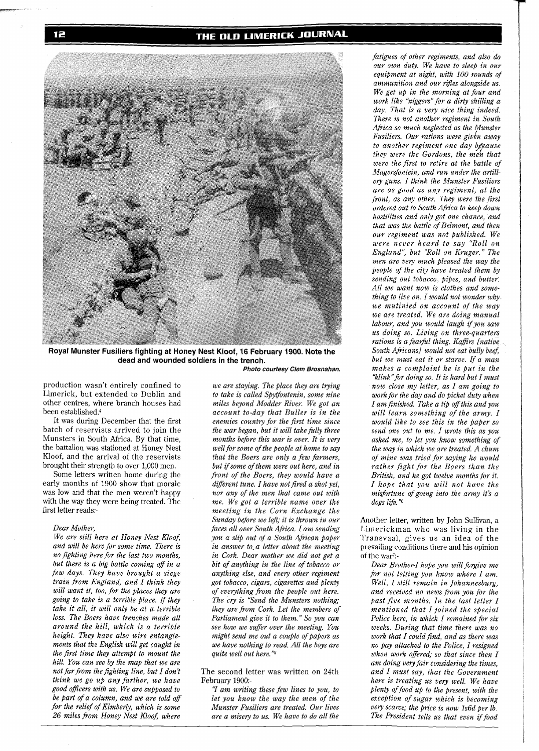## THE OLD LIMERICK JOURNAL



**Royal Munster Fusiliers fighting at Honey Nest Kloof, 16 February 1900. Note the dead and wounded soldiers in the trench. Photo courtesy Clem Brosnahan.** 

production wasn't entirely confined to Limerick, but extended to Dublin and other centres, where branch houses had been established.4

It was during December that the first batch of reservists arrived to join the Munsters in South Africa. By that time, the battalion was stationed at Honey Nest Kloof, and the arrival of the reservists brought their strength to over 1,000 men.

Some letters written home during the early months of 1900 show that morale was low and that the men weren't happy with the way they were being treated. The first letter reads:-

#### *Dear Mother,*

*We are still here at Honey Nest Kloof, and will be here for some time. There is no Fghting here for the last two months, but there is a big battle coming off in a few days. They have brought a siege train from England, and I think they will want it, too, for the places they are going to take is a terrible place. If they take it all, it will only be at a terrible loss. The Boers have trenches made all around the hill, which is a terrible height. They have also wire entanglements that the English will get caught in the first time they attempt to mount the hill. You can see by the map that we are not far from the fighting line, but I don't think we go up any farther, we have good oficers with us. We are supposed to be Part of a column, and we are told off for the relief of Kimberly, which is some 26 miles from Honey Nest Kloof, where* 

*we are staying. The place they are trying to take is called Spytfontenin, some nine miles beyond Modder River. We got an account to-day that Buller is in the enemies country for the first time since the war began, but it will take fitlly three months before this war* **is** *over. It is very well for some of the people at home to say that the Boers are only a few farmers, but ifsome of them were out here, and in front of the Boers, they would have a different tune. I have not fired a shot yet, nor any of the men that came out with me. We got a terrible name over the meeting in the Corn Exchange the Sunday before we left; it is thrown in our faces all over South Africa. I am sending you a slip out of a South Afiican paper in answer to- a letter about the meeting in Cork. Dear mother we did not get a bit of anything in the line of tobacco or anything else, and every other regiment got tobacco, cigars, cigarettes and plenty of everything from the people out here. The cry is "Send the Munsters nothing; they are from Cork. Let the members of Parliament give it to them." So you can see how we suffer over the meeting. You might send me out a couple of papers as we have nothing to read. All the boys are quite well out here."\$* 

The second letter was written on 24th February 1900:-

**7** *am writing these few lines to you, to let you know the way the men of the Munster Fusiliers are treated. Our lives are a misery to us. We have to do all the* 

*fatigues of other regiments, and also do our own duty. We have to sleep in our equipment at night, with 100 rounds of ammunition and our rifles alongside us. We get up in the morning at four and work like "niggers" for a dirty shilling a day. That is a very nice thing indeed. There is not another regiment in South Africa so much neglected as the Munster Fusiliers. Our rations were givbn away to another regiment one day @?cause they were the Gordons, the me& that were the first to retire at the battle of Magersfontein, and run under the artillery guns. I think the Munster Fusiliers are as good as any regiment, at the front, as any other. They were the first ordered out to South Africa to keep down hostilities and only got one chance, and that was the battle of Belmont, and then our regiment was not published. We were never heard to say "Roll on England", but "Roll on Kruger." The men are very much pleased the way the people of the city have treated them by sending out tobacco, pipes, and butter. All we want now is clothes and something to live on. I would not wonder why we mutinied on account of the way we are treated. We are doing manual labour, and you would laugh if you saw us doing so. Living on three-quarters rations is a fearful thing. Kaffirs [native] South Africans1 would not eat bully beef, but we must eat it or starve. If a man makes a complaint he is put in the "k1ink"for doing so. It is hard but I must now close my letter, as I am going to work for the day and do picket duty when I am finished. Take a tip off this and you will learn something of the army. I would like to see this in the paper so send one out to me. I wrote this as you asked me, to let you know something of the way in which we are treated. A chum of mine was tried for saying he would rather fight for the Boers than the British, and he got twelve months for it. I hope that you will not have the misfortune of going into the army it's a dogs life."6* 

Another letter, written by John Sullivan, a Limerickman who was living in the Transvaal, gives us an idea of the prevailing conditions there and his opinion of the war?-

*Dear Brother-I hope you will forgive me for not letting you know where I am. Well, I still remain in Johannesburg, and received no news from you for the past five months. In the last letter I mentioned that I joined the special Police here, in which I remained for six weeks. During that time there was no work that I could find, and as there was no pay attached to the Police, I resigned when work offered; so that since then I am doing very fair considering the times, and I must say, that the Government here is treating us very well. We have Plenty offood up to the present, with the exception of sugar which is becoming very scarce; the Price is now ls6d per lb. The President tells us that even if food*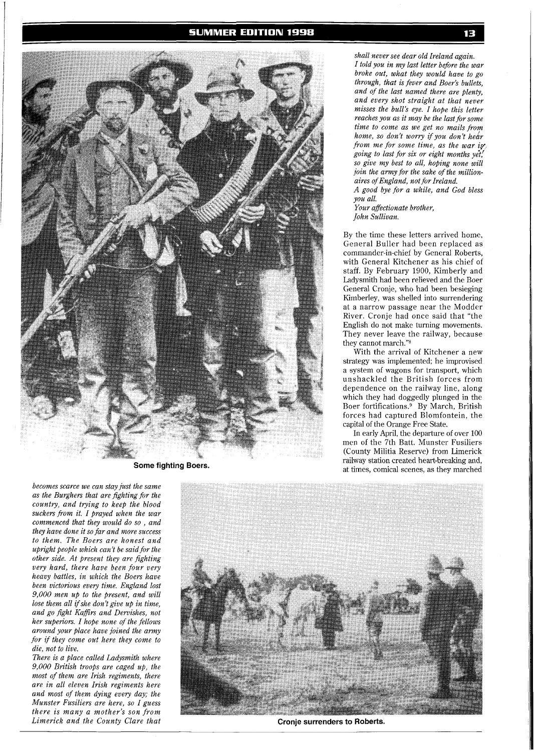### **SUMMER EDITION 1998**



**Some fighting Boers.** 

*becomes scarce we can stay just the same as the Burghers that are fighting for the*  $country$ , and trying to keep the blood *suckers from it. I prayed when the war commenc~d that they Wc~ll/d do SO* , *and they have done it so far and more success to the~n. The h'oers are honest and upright people which can't be said for the c~tlwr side. At prrsrnt they art fighting very hard, there have been four very heavy battles, in which the Boers have been victorious every time. England lost 9,000 men up to the present, and will lose them all ifshe don't give up in time, and go fight Kafirs and Dervishes, not her superiors. I hope none of the fellows around your place have joined the army for* **if** *they come out here they come to die, not to live.* 

*There is a place called Ladysmith where 9,000 British troops are caged up, the most of them are Irish regiments, there are in all eleven Irish regiments here and most of them dying every day; the Munster Fusiliers are here, so I guess there is many a mother's son from Limerick and the County Clare that* **CRO CRO Cronje surrenders to Roberts. CRO** 

*shall never see dear old Ireland again. I told you in my last letter before the war broke out, what they would have to go through, that is fever and Boer's bullets, and of the last named there are plenty, and every shot straight at that never misses the bull's eye. I hope this letter reaches you as it may be the last for some time to come as we get no mails from home, so don't worry if you don't hear from me for some time, as the war iy. going to last for six or eight months y&: so give my best to all, hoping none will join the army for the sake of the millionaires of England, not for Ireland. A good bye for a while, and God bless* 

*you all. Your affectionate brother, John Sullivan.* 

By the time these letters arrived home, General Buller had been replaced as commander-in-chief by General Roberts, with General Kitchener as his chief of staff. By February 1900, Kimberly and Ladysmith had been relieved and the Boer General Cronje, who had been besieging Kimberley, was shelled into surrendering at a narrow passage near the Modder River. Cronje had once said that "the English do not make turning movements. They never leave the railway, because they cannot march."8

With the arrival of Kitchener a new strategy was implemented; he improvised a system of wagons for transport, which unshackled the British forces from dependence on the railway line, along which they had doggedly plunged in the Boer fortifications.9 By March, British forces had captured Blomfontein, the capital of the Orange Free State.

In early April, the departure of over 100 men of the 7th Batt. Munster Fusiliers (County Militia Reserve) from Limerick railway station created heart-breaking and, at times, comical scenes, as they marched